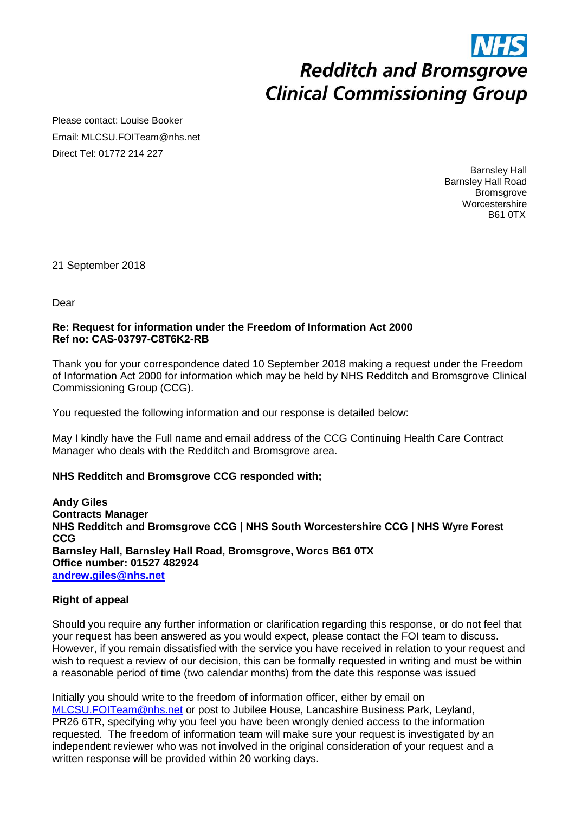# **Redditch and Bromsgrove Clinical Commissioning Group**

Please contact: Louise Booker Email: MLCSU.FOITeam@nhs.net Direct Tel: 01772 214 227

> Barnsley Hall Barnsley Hall Road **Bromsgrove Worcestershire** B61 0TX

21 September 2018

Dear

#### **Re: Request for information under the Freedom of Information Act 2000 Ref no: CAS-03797-C8T6K2-RB**

Thank you for your correspondence dated 10 September 2018 making a request under the Freedom of Information Act 2000 for information which may be held by NHS Redditch and Bromsgrove Clinical Commissioning Group (CCG).

You requested the following information and our response is detailed below:

May I kindly have the Full name and email address of the CCG Continuing Health Care Contract Manager who deals with the Redditch and Bromsgrove area.

#### **NHS Redditch and Bromsgrove CCG responded with;**

**Andy Giles Contracts Manager NHS Redditch and Bromsgrove CCG | NHS South Worcestershire CCG | NHS Wyre Forest CCG Barnsley Hall, Barnsley Hall Road, Bromsgrove, Worcs B61 0TX Office number: 01527 482924 [andrew.giles@nhs.net](mailto:andrew.giles@nhs.net)**

#### **Right of appeal**

Should you require any further information or clarification regarding this response, or do not feel that your request has been answered as you would expect, please contact the FOI team to discuss. However, if you remain dissatisfied with the service you have received in relation to your request and wish to request a review of our decision, this can be formally requested in writing and must be within a reasonable period of time (two calendar months) from the date this response was issued

Initially you should write to the freedom of information officer, either by email on [MLCSU.FOITeam@nhs.net](mailto:MLCSU.FOITeam@nhs.net) or post to Jubilee House, Lancashire Business Park, Leyland, PR26 6TR, specifying why you feel you have been wrongly denied access to the information requested. The freedom of information team will make sure your request is investigated by an independent reviewer who was not involved in the original consideration of your request and a written response will be provided within 20 working days.